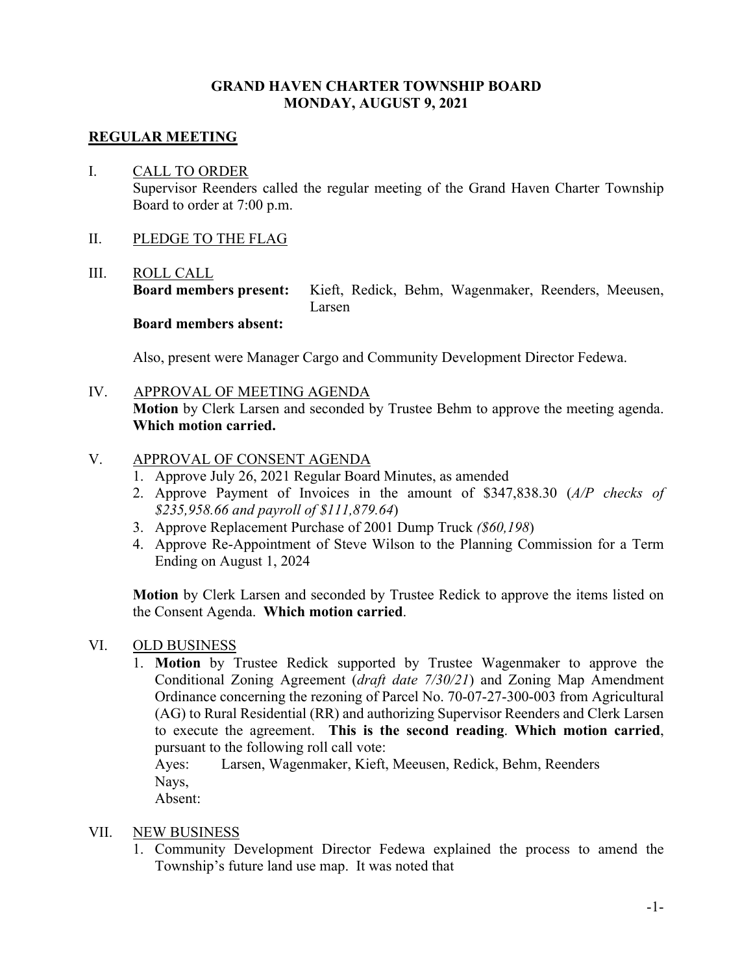# **GRAND HAVEN CHARTER TOWNSHIP BOARD MONDAY, AUGUST 9, 2021**

## **REGULAR MEETING**

# I. CALL TO ORDER Supervisor Reenders called the regular meeting of the Grand Haven Charter Township Board to order at 7:00 p.m.

II. PLEDGE TO THE FLAG

# III. ROLL CALL

**Board members present:** Kieft, Redick, Behm, Wagenmaker, Reenders, Meeusen, Larsen

# **Board members absent:**

Also, present were Manager Cargo and Community Development Director Fedewa.

IV. APPROVAL OF MEETING AGENDA

**Motion** by Clerk Larsen and seconded by Trustee Behm to approve the meeting agenda. **Which motion carried.**

### V. APPROVAL OF CONSENT AGENDA

- 1. Approve July 26, 2021 Regular Board Minutes, as amended
- 2. Approve Payment of Invoices in the amount of \$347,838.30 (*A/P checks of \$235,958.66 and payroll of \$111,879.64*)
- 3. Approve Replacement Purchase of 2001 Dump Truck *(\$60,198*)
- 4. Approve Re-Appointment of Steve Wilson to the Planning Commission for a Term Ending on August 1, 2024

**Motion** by Clerk Larsen and seconded by Trustee Redick to approve the items listed on the Consent Agenda. **Which motion carried**.

### VI. OLD BUSINESS

1. **Motion** by Trustee Redick supported by Trustee Wagenmaker to approve the Conditional Zoning Agreement (*draft date 7/30/21*) and Zoning Map Amendment Ordinance concerning the rezoning of Parcel No. 70-07-27-300-003 from Agricultural (AG) to Rural Residential (RR) and authorizing Supervisor Reenders and Clerk Larsen to execute the agreement. **This is the second reading**. **Which motion carried**, pursuant to the following roll call vote:

Ayes: Larsen, Wagenmaker, Kieft, Meeusen, Redick, Behm, Reenders Nays,

Absent:

### VII. NEW BUSINESS

1. Community Development Director Fedewa explained the process to amend the Township's future land use map. It was noted that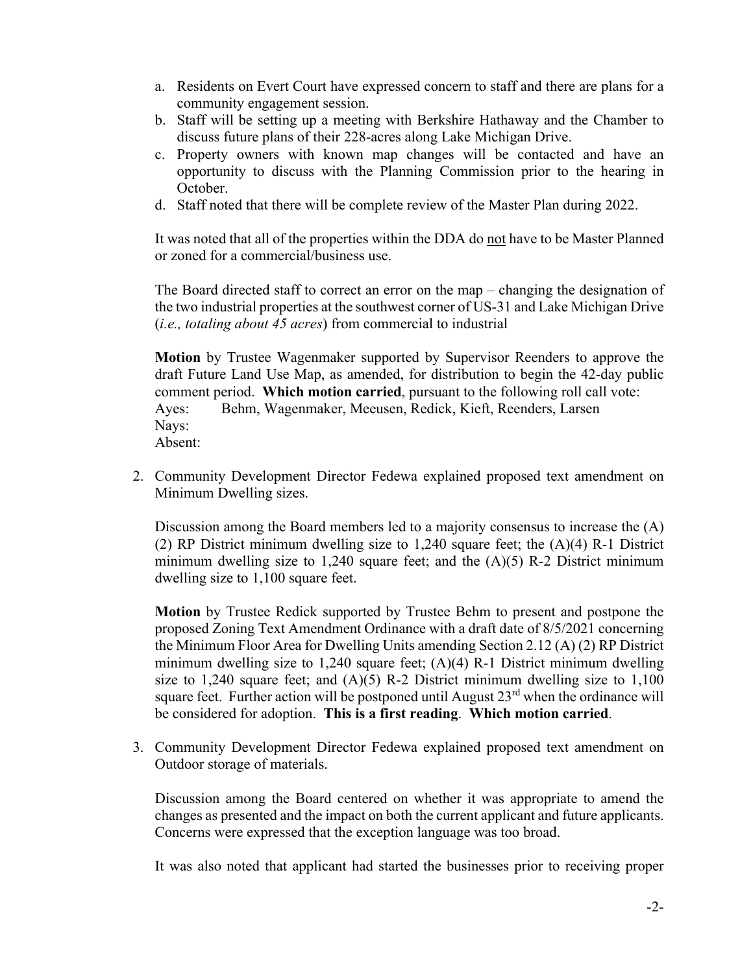- a. Residents on Evert Court have expressed concern to staff and there are plans for a community engagement session.
- b. Staff will be setting up a meeting with Berkshire Hathaway and the Chamber to discuss future plans of their 228-acres along Lake Michigan Drive.
- c. Property owners with known map changes will be contacted and have an opportunity to discuss with the Planning Commission prior to the hearing in October.
- d. Staff noted that there will be complete review of the Master Plan during 2022.

It was noted that all of the properties within the DDA do not have to be Master Planned or zoned for a commercial/business use.

The Board directed staff to correct an error on the map – changing the designation of the two industrial properties at the southwest corner of US-31 and Lake Michigan Drive (*i.e., totaling about 45 acres*) from commercial to industrial

**Motion** by Trustee Wagenmaker supported by Supervisor Reenders to approve the draft Future Land Use Map, as amended, for distribution to begin the 42-day public comment period. **Which motion carried**, pursuant to the following roll call vote: Ayes: Behm, Wagenmaker, Meeusen, Redick, Kieft, Reenders, Larsen Nays: Absent:

2. Community Development Director Fedewa explained proposed text amendment on Minimum Dwelling sizes.

Discussion among the Board members led to a majority consensus to increase the (A) (2) RP District minimum dwelling size to 1,240 square feet; the (A)(4) R-1 District minimum dwelling size to 1,240 square feet; and the  $(A)(5)$  R-2 District minimum dwelling size to 1,100 square feet.

**Motion** by Trustee Redick supported by Trustee Behm to present and postpone the proposed Zoning Text Amendment Ordinance with a draft date of 8/5/2021 concerning the Minimum Floor Area for Dwelling Units amending Section 2.12 (A) (2) RP District minimum dwelling size to 1,240 square feet; (A)(4) R-1 District minimum dwelling size to 1,240 square feet; and  $(A)(5)$  R-2 District minimum dwelling size to 1,100 square feet. Further action will be postponed until August 23<sup>rd</sup> when the ordinance will be considered for adoption. **This is a first reading**. **Which motion carried**.

3. Community Development Director Fedewa explained proposed text amendment on Outdoor storage of materials.

Discussion among the Board centered on whether it was appropriate to amend the changes as presented and the impact on both the current applicant and future applicants. Concerns were expressed that the exception language was too broad.

It was also noted that applicant had started the businesses prior to receiving proper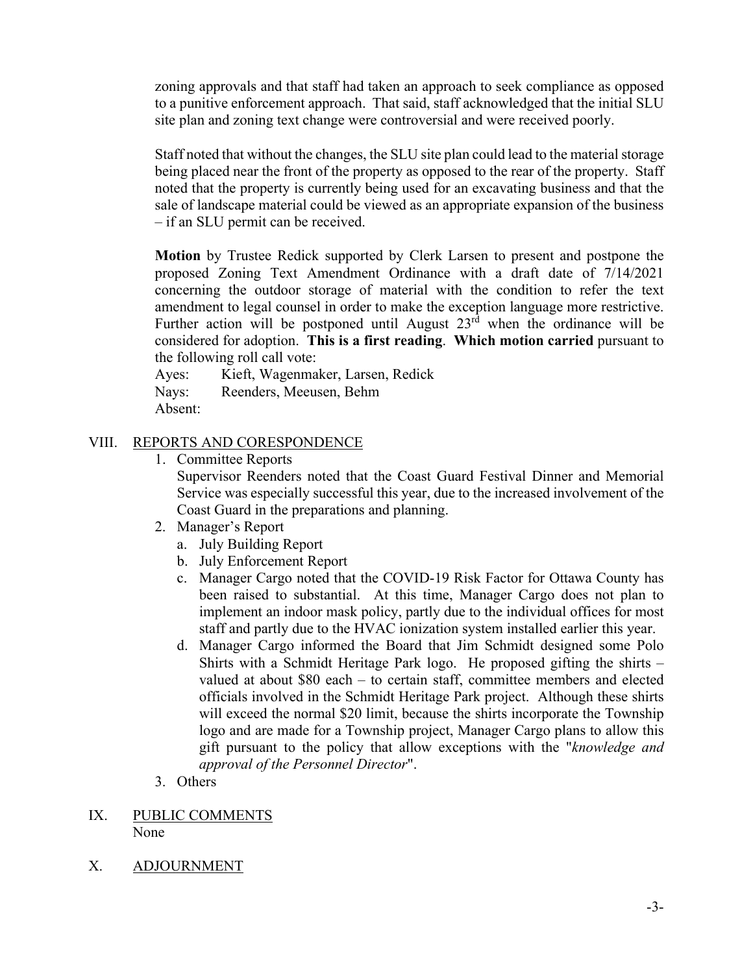zoning approvals and that staff had taken an approach to seek compliance as opposed to a punitive enforcement approach. That said, staff acknowledged that the initial SLU site plan and zoning text change were controversial and were received poorly.

Staff noted that without the changes, the SLU site plan could lead to the material storage being placed near the front of the property as opposed to the rear of the property. Staff noted that the property is currently being used for an excavating business and that the sale of landscape material could be viewed as an appropriate expansion of the business – if an SLU permit can be received.

**Motion** by Trustee Redick supported by Clerk Larsen to present and postpone the proposed Zoning Text Amendment Ordinance with a draft date of 7/14/2021 concerning the outdoor storage of material with the condition to refer the text amendment to legal counsel in order to make the exception language more restrictive. Further action will be postponed until August  $23<sup>rd</sup>$  when the ordinance will be considered for adoption. **This is a first reading**. **Which motion carried** pursuant to the following roll call vote:

Ayes: Kieft, Wagenmaker, Larsen, Redick Nays: Reenders, Meeusen, Behm Absent:

# VIII. REPORTS AND CORESPONDENCE

1. Committee Reports

Supervisor Reenders noted that the Coast Guard Festival Dinner and Memorial Service was especially successful this year, due to the increased involvement of the Coast Guard in the preparations and planning.

- 2. Manager's Report
	- a. July Building Report
	- b. July Enforcement Report
	- c. Manager Cargo noted that the COVID-19 Risk Factor for Ottawa County has been raised to substantial. At this time, Manager Cargo does not plan to implement an indoor mask policy, partly due to the individual offices for most staff and partly due to the HVAC ionization system installed earlier this year.
	- d. Manager Cargo informed the Board that Jim Schmidt designed some Polo Shirts with a Schmidt Heritage Park logo. He proposed gifting the shirts – valued at about \$80 each – to certain staff, committee members and elected officials involved in the Schmidt Heritage Park project. Although these shirts will exceed the normal \$20 limit, because the shirts incorporate the Township logo and are made for a Township project, Manager Cargo plans to allow this gift pursuant to the policy that allow exceptions with the "*knowledge and approval of the Personnel Director*".
- 3. Others
- IX. PUBLIC COMMENTS None
- X. ADJOURNMENT